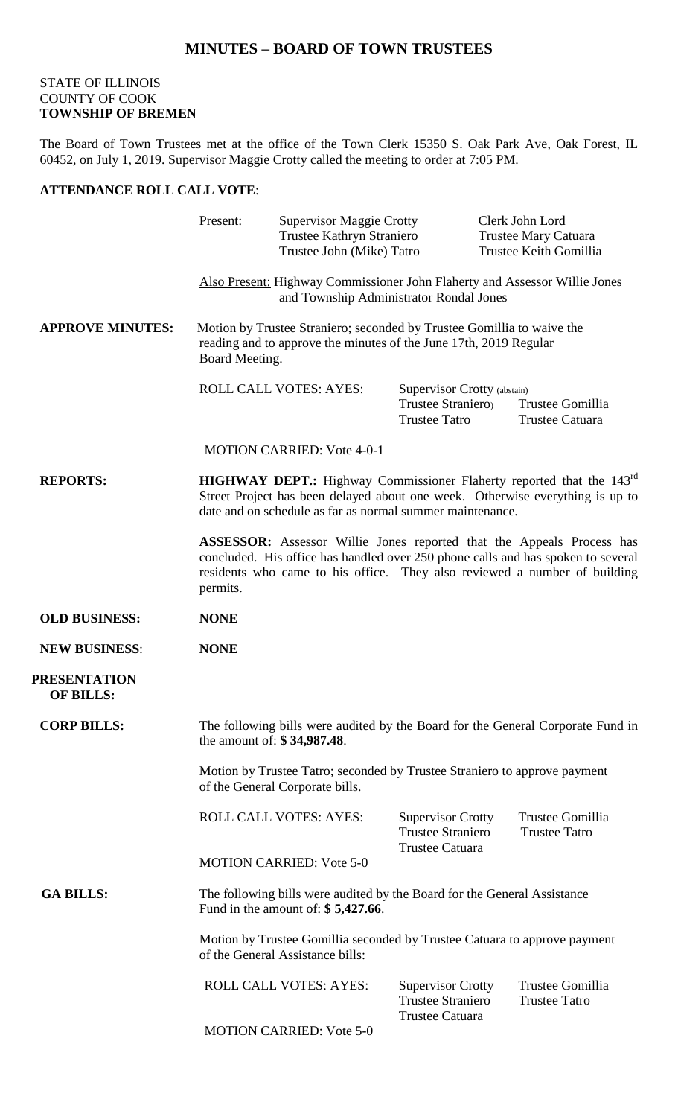## **MINUTES – BOARD OF TOWN TRUSTEES**

## STATE OF ILLINOIS COUNTY OF COOK **TOWNSHIP OF BREMEN**

The Board of Town Trustees met at the office of the Town Clerk 15350 S. Oak Park Ave, Oak Forest, IL 60452, on July 1, 2019. Supervisor Maggie Crotty called the meeting to order at 7:05 PM.

## **ATTENDANCE ROLL CALL VOTE**:

|                                         | Present:                                                                                                                                                                                                                                                  | <b>Supervisor Maggie Crotty</b><br>Trustee Kathryn Straniero<br>Trustee John (Mike) Tatro |                                                                                | Clerk John Lord<br><b>Trustee Mary Catuara</b><br>Trustee Keith Gomillia |  |
|-----------------------------------------|-----------------------------------------------------------------------------------------------------------------------------------------------------------------------------------------------------------------------------------------------------------|-------------------------------------------------------------------------------------------|--------------------------------------------------------------------------------|--------------------------------------------------------------------------|--|
|                                         | Also Present: Highway Commissioner John Flaherty and Assessor Willie Jones<br>and Township Administrator Rondal Jones                                                                                                                                     |                                                                                           |                                                                                |                                                                          |  |
| <b>APPROVE MINUTES:</b>                 | Motion by Trustee Straniero; seconded by Trustee Gomillia to waive the<br>reading and to approve the minutes of the June 17th, 2019 Regular<br>Board Meeting.                                                                                             |                                                                                           |                                                                                |                                                                          |  |
|                                         |                                                                                                                                                                                                                                                           | ROLL CALL VOTES: AYES:                                                                    | Supervisor Crotty (abstain)<br>Trustee Straniero<br><b>Trustee Tatro</b>       | Trustee Gomillia<br>Trustee Catuara                                      |  |
|                                         |                                                                                                                                                                                                                                                           | <b>MOTION CARRIED: Vote 4-0-1</b>                                                         |                                                                                |                                                                          |  |
| <b>REPORTS:</b>                         | <b>HIGHWAY DEPT.:</b> Highway Commissioner Flaherty reported that the 143 <sup>rd</sup><br>Street Project has been delayed about one week. Otherwise everything is up to<br>date and on schedule as far as normal summer maintenance.                     |                                                                                           |                                                                                |                                                                          |  |
|                                         | <b>ASSESSOR:</b> Assessor Willie Jones reported that the Appeals Process has<br>concluded. His office has handled over 250 phone calls and has spoken to several<br>residents who came to his office. They also reviewed a number of building<br>permits. |                                                                                           |                                                                                |                                                                          |  |
| <b>OLD BUSINESS:</b>                    | <b>NONE</b>                                                                                                                                                                                                                                               |                                                                                           |                                                                                |                                                                          |  |
| <b>NEW BUSINESS:</b>                    | <b>NONE</b>                                                                                                                                                                                                                                               |                                                                                           |                                                                                |                                                                          |  |
| <b>PRESENTATION</b><br><b>OF BILLS:</b> |                                                                                                                                                                                                                                                           |                                                                                           |                                                                                |                                                                          |  |
| <b>CORP BILLS:</b>                      | The following bills were audited by the Board for the General Corporate Fund in<br>the amount of: \$34,987.48.                                                                                                                                            |                                                                                           |                                                                                |                                                                          |  |
|                                         | Motion by Trustee Tatro; seconded by Trustee Straniero to approve payment<br>of the General Corporate bills.                                                                                                                                              |                                                                                           |                                                                                |                                                                          |  |
|                                         |                                                                                                                                                                                                                                                           | <b>ROLL CALL VOTES: AYES:</b>                                                             | <b>Supervisor Crotty</b><br><b>Trustee Straniero</b><br><b>Trustee Catuara</b> | Trustee Gomillia<br><b>Trustee Tatro</b>                                 |  |
|                                         |                                                                                                                                                                                                                                                           | <b>MOTION CARRIED: Vote 5-0</b>                                                           |                                                                                |                                                                          |  |
| <b>GA BILLS:</b>                        | The following bills were audited by the Board for the General Assistance<br>Fund in the amount of: $$5,427.66$ .                                                                                                                                          |                                                                                           |                                                                                |                                                                          |  |
|                                         | Motion by Trustee Gomillia seconded by Trustee Catuara to approve payment<br>of the General Assistance bills:                                                                                                                                             |                                                                                           |                                                                                |                                                                          |  |
|                                         |                                                                                                                                                                                                                                                           | <b>ROLL CALL VOTES: AYES:</b>                                                             | <b>Supervisor Crotty</b><br><b>Trustee Straniero</b><br>Trustee Catuara        | Trustee Gomillia<br><b>Trustee Tatro</b>                                 |  |
|                                         |                                                                                                                                                                                                                                                           | <b>MOTION CARRIED: Vote 5-0</b>                                                           |                                                                                |                                                                          |  |